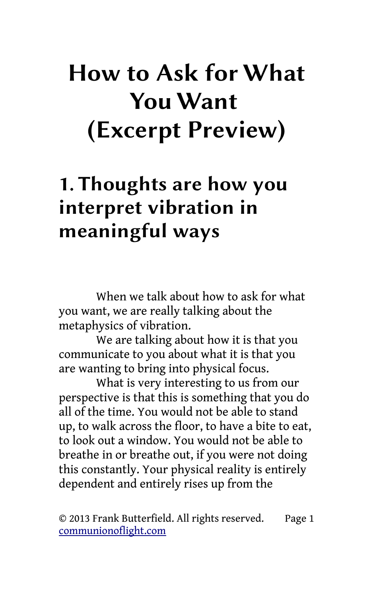## How to Ask for What You Want (Excerpt Preview)

## 1. Thoughts are how you interpret vibration in meaningful ways

When we talk about how to ask for what you want, we are really talking about the metaphysics of vibration.

We are talking about how it is that you communicate to you about what it is that you are wanting to bring into physical focus.

What is very interesting to us from our perspective is that this is something that you do all of the time. You would not be able to stand up, to walk across the floor, to have a bite to eat, to look out a window. You would not be able to breathe in or breathe out, if you were not doing this constantly. Your physical reality is entirely dependent and entirely rises up from the

© 2013 Frank Butterfield. All rights reserved. Page 1 [communionoflight.com](http://communionoflight.com/)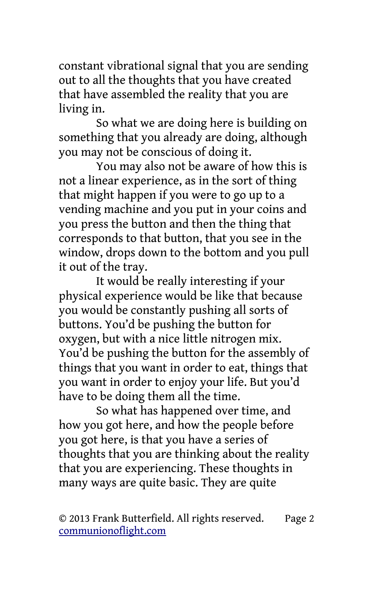constant vibrational signal that you are sending out to all the thoughts that you have created that have assembled the reality that you are living in.

So what we are doing here is building on something that you already are doing, although you may not be conscious of doing it.

You may also not be aware of how this is not a linear experience, as in the sort of thing that might happen if you were to go up to a vending machine and you put in your coins and you press the button and then the thing that corresponds to that button, that you see in the window, drops down to the bottom and you pull it out of the tray.

It would be really interesting if your physical experience would be like that because you would be constantly pushing all sorts of buttons. You'd be pushing the button for oxygen, but with a nice little nitrogen mix. You'd be pushing the button for the assembly of things that you want in order to eat, things that you want in order to enjoy your life. But you'd have to be doing them all the time.

So what has happened over time, and how you got here, and how the people before you got here, is that you have a series of thoughts that you are thinking about the reality that you are experiencing. These thoughts in many ways are quite basic. They are quite

© 2013 Frank Butterfield. All rights reserved. Page 2 [communionoflight.com](http://communionoflight.com/)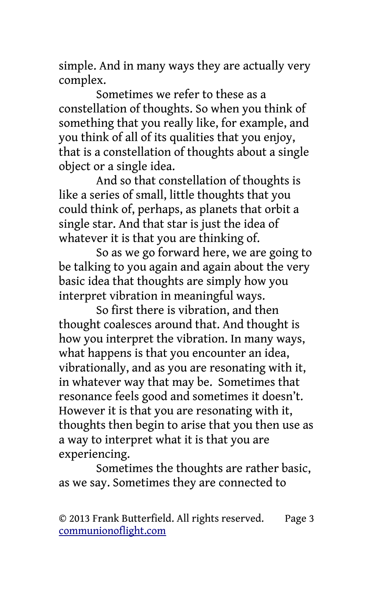simple. And in many ways they are actually very complex.

Sometimes we refer to these as a constellation of thoughts. So when you think of something that you really like, for example, and you think of all of its qualities that you enjoy, that is a constellation of thoughts about a single object or a single idea.

And so that constellation of thoughts is like a series of small, little thoughts that you could think of, perhaps, as planets that orbit a single star. And that star is just the idea of whatever it is that you are thinking of.

So as we go forward here, we are going to be talking to you again and again about the very basic idea that thoughts are simply how you interpret vibration in meaningful ways.

So first there is vibration, and then thought coalesces around that. And thought is how you interpret the vibration. In many ways, what happens is that you encounter an idea, vibrationally, and as you are resonating with it, in whatever way that may be. Sometimes that resonance feels good and sometimes it doesn't. However it is that you are resonating with it, thoughts then begin to arise that you then use as a way to interpret what it is that you are experiencing.

Sometimes the thoughts are rather basic, as we say. Sometimes they are connected to

© 2013 Frank Butterfield. All rights reserved. Page 3 [communionoflight.com](http://communionoflight.com/)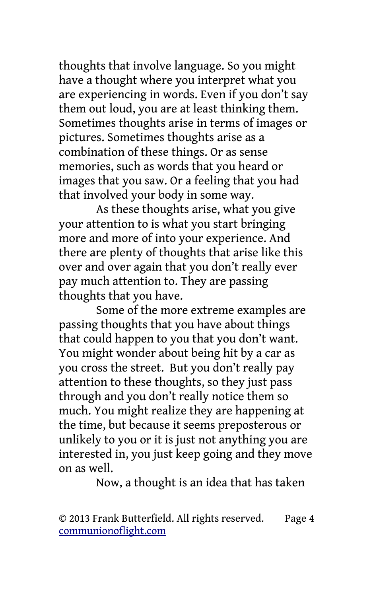thoughts that involve language. So you might have a thought where you interpret what you are experiencing in words. Even if you don't say them out loud, you are at least thinking them. Sometimes thoughts arise in terms of images or pictures. Sometimes thoughts arise as a combination of these things. Or as sense memories, such as words that you heard or images that you saw. Or a feeling that you had that involved your body in some way.

As these thoughts arise, what you give your attention to is what you start bringing more and more of into your experience. And there are plenty of thoughts that arise like this over and over again that you don't really ever pay much attention to. They are passing thoughts that you have.

Some of the more extreme examples are passing thoughts that you have about things that could happen to you that you don't want. You might wonder about being hit by a car as you cross the street. But you don't really pay attention to these thoughts, so they just pass through and you don't really notice them so much. You might realize they are happening at the time, but because it seems preposterous or unlikely to you or it is just not anything you are interested in, you just keep going and they move on as well.

Now, a thought is an idea that has taken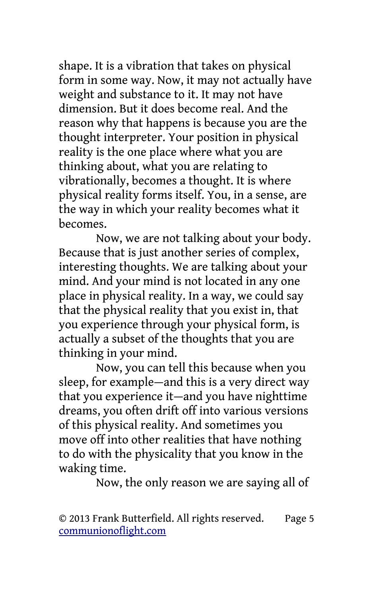shape. It is a vibration that takes on physical form in some way. Now, it may not actually have weight and substance to it. It may not have dimension. But it does become real. And the reason why that happens is because you are the thought interpreter. Your position in physical reality is the one place where what you are thinking about, what you are relating to vibrationally, becomes a thought. It is where physical reality forms itself. You, in a sense, are the way in which your reality becomes what it becomes.

Now, we are not talking about your body. Because that is just another series of complex, interesting thoughts. We are talking about your mind. And your mind is not located in any one place in physical reality. In a way, we could say that the physical reality that you exist in, that you experience through your physical form, is actually a subset of the thoughts that you are thinking in your mind.

Now, you can tell this because when you sleep, for example—and this is a very direct way that you experience it—and you have nighttime dreams, you often drift off into various versions of this physical reality. And sometimes you move off into other realities that have nothing to do with the physicality that you know in the waking time.

Now, the only reason we are saying all of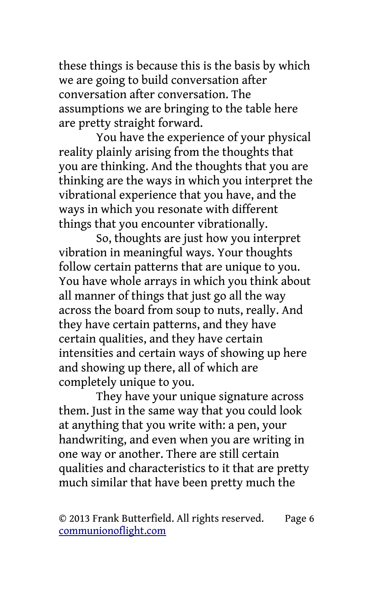these things is because this is the basis by which we are going to build conversation after conversation after conversation. The assumptions we are bringing to the table here are pretty straight forward.

You have the experience of your physical reality plainly arising from the thoughts that you are thinking. And the thoughts that you are thinking are the ways in which you interpret the vibrational experience that you have, and the ways in which you resonate with different things that you encounter vibrationally.

So, thoughts are just how you interpret vibration in meaningful ways. Your thoughts follow certain patterns that are unique to you. You have whole arrays in which you think about all manner of things that just go all the way across the board from soup to nuts, really. And they have certain patterns, and they have certain qualities, and they have certain intensities and certain ways of showing up here and showing up there, all of which are completely unique to you.

They have your unique signature across them. Just in the same way that you could look at anything that you write with: a pen, your handwriting, and even when you are writing in one way or another. There are still certain qualities and characteristics to it that are pretty much similar that have been pretty much the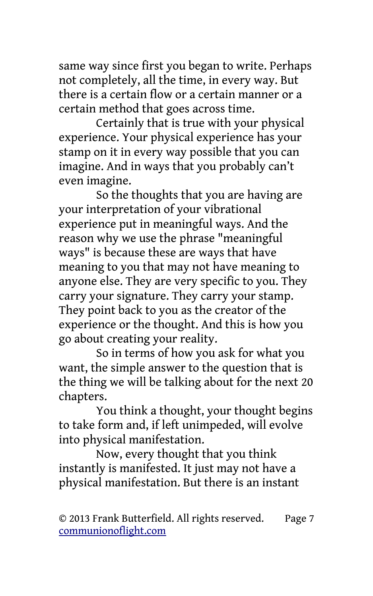same way since first you began to write. Perhaps not completely, all the time, in every way. But there is a certain flow or a certain manner or a certain method that goes across time.

Certainly that is true with your physical experience. Your physical experience has your stamp on it in every way possible that you can imagine. And in ways that you probably can't even imagine.

So the thoughts that you are having are your interpretation of your vibrational experience put in meaningful ways. And the reason why we use the phrase "meaningful ways" is because these are ways that have meaning to you that may not have meaning to anyone else. They are very specific to you. They carry your signature. They carry your stamp. They point back to you as the creator of the experience or the thought. And this is how you go about creating your reality.

So in terms of how you ask for what you want, the simple answer to the question that is the thing we will be talking about for the next 20 chapters.

You think a thought, your thought begins to take form and, if left unimpeded, will evolve into physical manifestation.

Now, every thought that you think instantly is manifested. It just may not have a physical manifestation. But there is an instant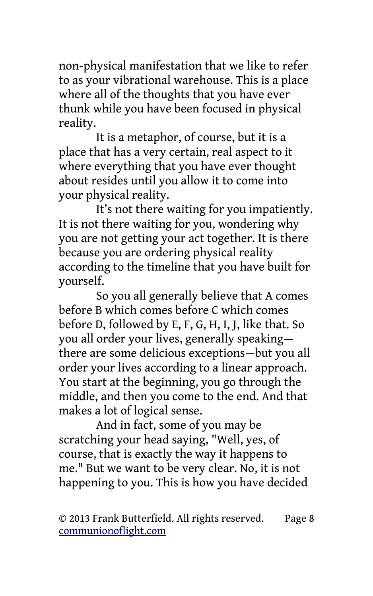non-physical manifestation that we like to refer to as your vibrational warehouse. This is a place where all of the thoughts that you have ever thunk while you have been focused in physical reality.

It is a metaphor, of course, but it is a place that has a very certain, real aspect to it where everything that you have ever thought about resides until you allow it to come into your physical reality.

It's not there waiting for you impatiently. It is not there waiting for you, wondering why you are not getting your act together. It is there because you are ordering physical reality according to the timeline that you have built for yourself.

So you all generally believe that A comes before B which comes before C which comes before D, followed by E, F, G, H, I, J, like that. So you all order your lives, generally speaking there are some delicious exceptions—but you all order your lives according to a linear approach. You start at the beginning, you go through the middle, and then you come to the end. And that makes a lot of logical sense.

And in fact, some of you may be scratching your head saying, "Well, yes, of course, that is exactly the way it happens to me." But we want to be very clear. No, it is not happening to you. This is how you have decided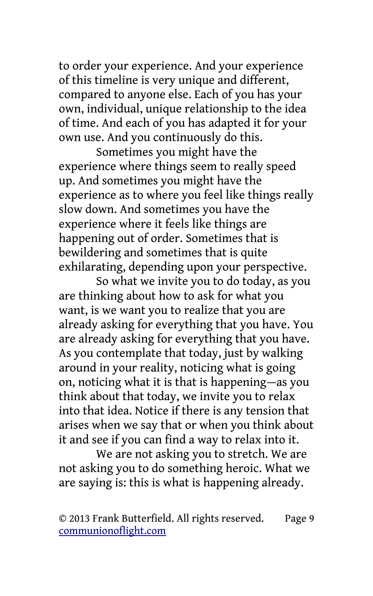to order your experience. And your experience of this timeline is very unique and different, compared to anyone else. Each of you has your own, individual, unique relationship to the idea of time. And each of you has adapted it for your own use. And you continuously do this.

Sometimes you might have the experience where things seem to really speed up. And sometimes you might have the experience as to where you feel like things really slow down. And sometimes you have the experience where it feels like things are happening out of order. Sometimes that is bewildering and sometimes that is quite exhilarating, depending upon your perspective.

So what we invite you to do today, as you are thinking about how to ask for what you want, is we want you to realize that you are already asking for everything that you have. You are already asking for everything that you have. As you contemplate that today, just by walking around in your reality, noticing what is going on, noticing what it is that is happening—as you think about that today, we invite you to relax into that idea. Notice if there is any tension that arises when we say that or when you think about it and see if you can find a way to relax into it.

We are not asking you to stretch. We are not asking you to do something heroic. What we are saying is: this is what is happening already.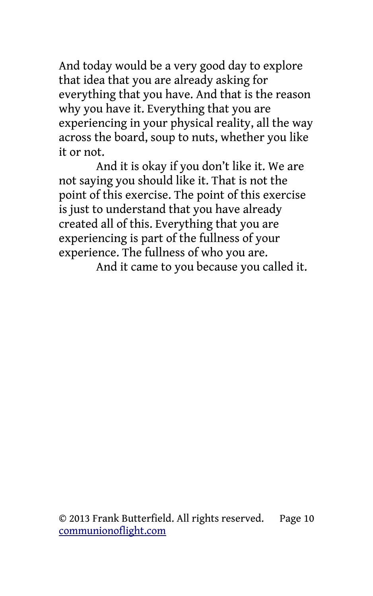And today would be a very good day to explore that idea that you are already asking for everything that you have. And that is the reason why you have it. Everything that you are experiencing in your physical reality, all the way across the board, soup to nuts, whether you like it or not.

And it is okay if you don't like it. We are not saying you should like it. That is not the point of this exercise. The point of this exercise is just to understand that you have already created all of this. Everything that you are experiencing is part of the fullness of your experience. The fullness of who you are.

And it came to you because you called it.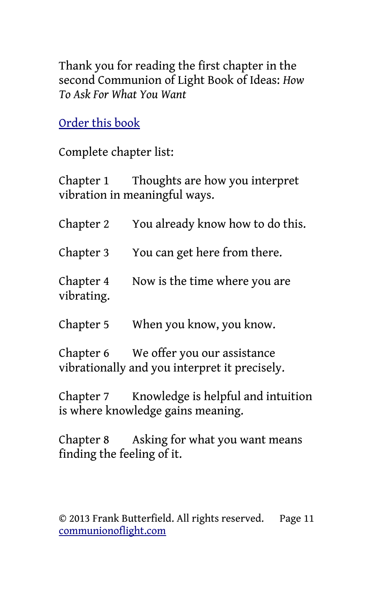Thank you for reading the first chapter in the second Communion of Light Book of Ideas: *How To Ask For What You Want*

[Order this book](http://communionoflight.com/store/how-to-ask-for-what-you-want-book)

Complete chapter list:

Chapter 1 Thoughts are how you interpret vibration in meaningful ways.

| Chapter 2               | You already know how to do this.       |
|-------------------------|----------------------------------------|
|                         | Chapter 3 You can get here from there. |
| Chapter 4<br>vibrating. | Now is the time where you are          |
|                         |                                        |

Chapter 5 When you know, you know.

Chapter 6 We offer you our assistance vibrationally and you interpret it precisely.

Chapter 7 Knowledge is helpful and intuition is where knowledge gains meaning.

Chapter 8 Asking for what you want means finding the feeling of it.

© 2013 Frank Butterfield. All rights reserved. Page 11 [communionoflight.com](http://communionoflight.com/)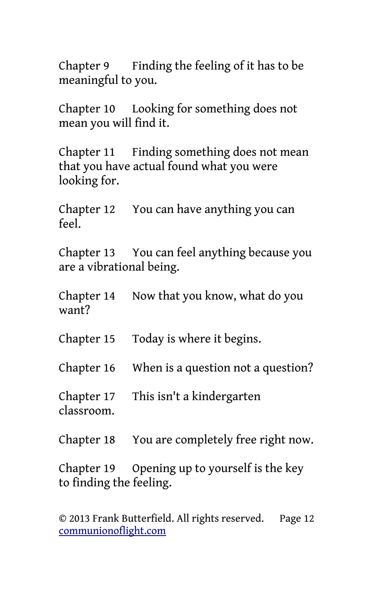Chapter 9 Finding the feeling of it has to be meaningful to you.

Chapter 10 Looking for something does not mean you will find it.

Chapter 11 Finding something does not mean that you have actual found what you were looking for.

Chapter 12 You can have anything you can  $f_{\rho\rho}$ 

Chapter 13 You can feel anything because you are a vibrational being.

Chapter 14 Now that you know, what do you want?

Chapter 15 Today is where it begins.

Chapter 16 When is a question not a question?

Chapter 17 This isn't a kindergarten classroom.

Chapter 18 You are completely free right now.

Chapter 19 Opening up to yourself is the key to finding the feeling.

© 2013 Frank Butterfield. All rights reserved. Page 12 [communionoflight.com](http://communionoflight.com/)